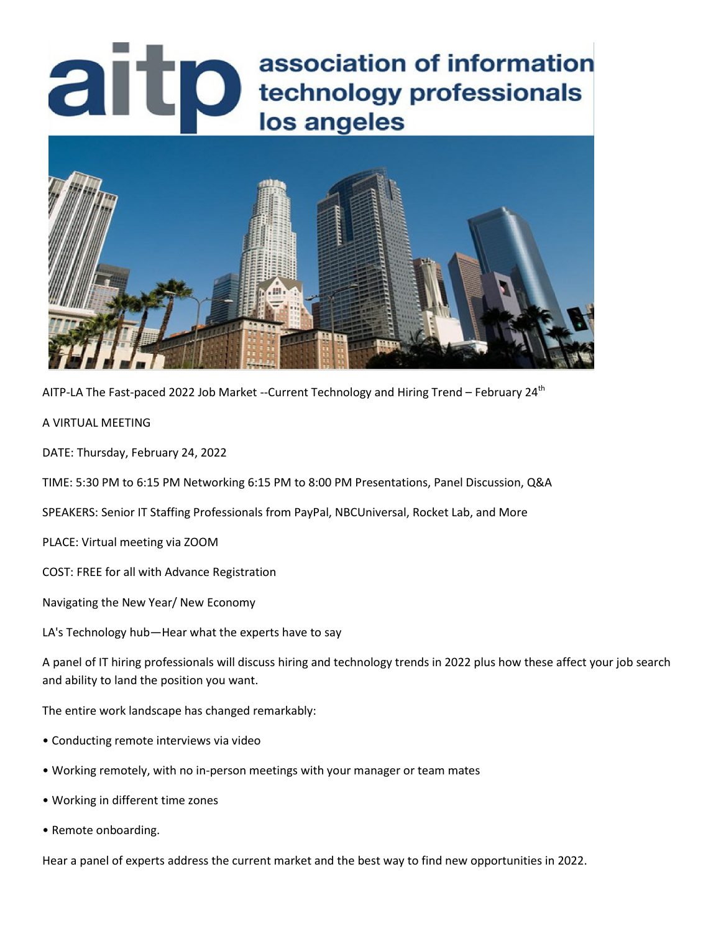# association of information<br>lechnology professionals<br>los angeles association of information



AITP-LA The Fast-paced 2022 Job Market --Current Technology and Hiring Trend – February 24<sup>th</sup>

A VIRTUAL MEETING

DATE: Thursday, February 24, 2022

TIME: 5:30 PM to 6:15 PM Networking 6:15 PM to 8:00 PM Presentations, Panel Discussion, Q&A

SPEAKERS: Senior IT Staffing Professionals from PayPal, NBCUniversal, Rocket Lab, and More

PLACE: Virtual meeting via ZOOM

COST: FREE for all with Advance Registration

Navigating the New Year/ New Economy

LA's Technology hub—Hear what the experts have to say

A panel of IT hiring professionals will discuss hiring and technology trends in 2022 plus how these affect your job search and ability to land the position you want.

The entire work landscape has changed remarkably:

- Conducting remote interviews via video
- Working remotely, with no in-person meetings with your manager or team mates
- Working in different time zones
- Remote onboarding.

Hear a panel of experts address the current market and the best way to find new opportunities in 2022.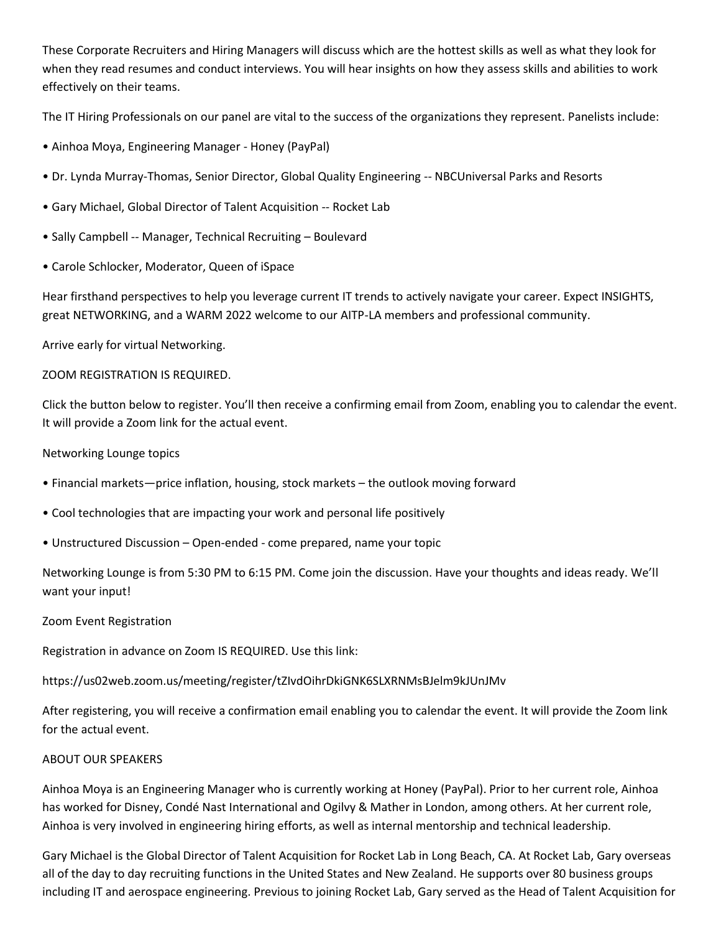These Corporate Recruiters and Hiring Managers will discuss which are the hottest skills as well as what they look for when they read resumes and conduct interviews. You will hear insights on how they assess skills and abilities to work effectively on their teams.

The IT Hiring Professionals on our panel are vital to the success of the organizations they represent. Panelists include:

- Ainhoa Moya, Engineering Manager Honey (PayPal)
- Dr. Lynda Murray-Thomas, Senior Director, Global Quality Engineering -- NBCUniversal Parks and Resorts
- Gary Michael, Global Director of Talent Acquisition -- Rocket Lab
- Sally Campbell -- Manager, Technical Recruiting Boulevard
- Carole Schlocker, Moderator, Queen of iSpace

Hear firsthand perspectives to help you leverage current IT trends to actively navigate your career. Expect INSIGHTS, great NETWORKING, and a WARM 2022 welcome to our AITP-LA members and professional community.

Arrive early for virtual Networking.

## ZOOM REGISTRATION IS REQUIRED.

Click the button below to register. You'll then receive a confirming email from Zoom, enabling you to calendar the event. It will provide a Zoom link for the actual event.

## Networking Lounge topics

- Financial markets—price inflation, housing, stock markets the outlook moving forward
- Cool technologies that are impacting your work and personal life positively
- Unstructured Discussion Open-ended come prepared, name your topic

Networking Lounge is from 5:30 PM to 6:15 PM. Come join the discussion. Have your thoughts and ideas ready. We'll want your input!

## Zoom Event Registration

Registration in advance on Zoom IS REQUIRED. Use this link:

https://us02web.zoom.us/meeting/register/tZIvdOihrDkiGNK6SLXRNMsBJelm9kJUnJMv

After registering, you will receive a confirmation email enabling you to calendar the event. It will provide the Zoom link for the actual event.

## ABOUT OUR SPEAKERS

Ainhoa Moya is an Engineering Manager who is currently working at Honey (PayPal). Prior to her current role, Ainhoa has worked for Disney, Condé Nast International and Ogilvy & Mather in London, among others. At her current role, Ainhoa is very involved in engineering hiring efforts, as well as internal mentorship and technical leadership.

Gary Michael is the Global Director of Talent Acquisition for Rocket Lab in Long Beach, CA. At Rocket Lab, Gary overseas all of the day to day recruiting functions in the United States and New Zealand. He supports over 80 business groups including IT and aerospace engineering. Previous to joining Rocket Lab, Gary served as the Head of Talent Acquisition for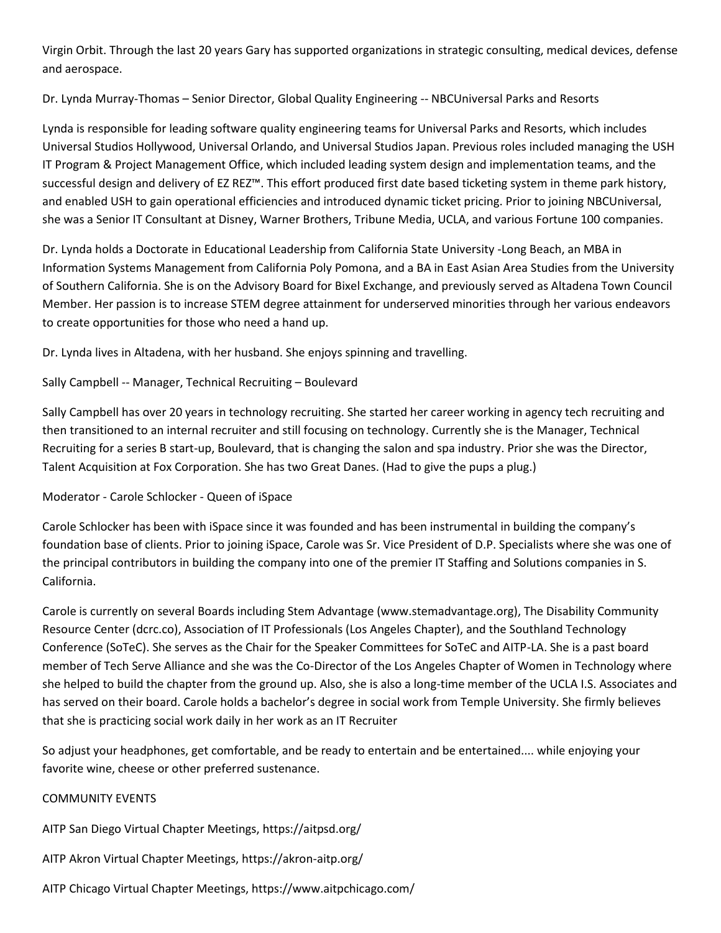Virgin Orbit. Through the last 20 years Gary has supported organizations in strategic consulting, medical devices, defense and aerospace.

Dr. Lynda Murray-Thomas – Senior Director, Global Quality Engineering -- NBCUniversal Parks and Resorts

Lynda is responsible for leading software quality engineering teams for Universal Parks and Resorts, which includes Universal Studios Hollywood, Universal Orlando, and Universal Studios Japan. Previous roles included managing the USH IT Program & Project Management Office, which included leading system design and implementation teams, and the successful design and delivery of EZ REZ™. This effort produced first date based ticketing system in theme park history, and enabled USH to gain operational efficiencies and introduced dynamic ticket pricing. Prior to joining NBCUniversal, she was a Senior IT Consultant at Disney, Warner Brothers, Tribune Media, UCLA, and various Fortune 100 companies.

Dr. Lynda holds a Doctorate in Educational Leadership from California State University -Long Beach, an MBA in Information Systems Management from California Poly Pomona, and a BA in East Asian Area Studies from the University of Southern California. She is on the Advisory Board for Bixel Exchange, and previously served as Altadena Town Council Member. Her passion is to increase STEM degree attainment for underserved minorities through her various endeavors to create opportunities for those who need a hand up.

Dr. Lynda lives in Altadena, with her husband. She enjoys spinning and travelling.

Sally Campbell -- Manager, Technical Recruiting – Boulevard

Sally Campbell has over 20 years in technology recruiting. She started her career working in agency tech recruiting and then transitioned to an internal recruiter and still focusing on technology. Currently she is the Manager, Technical Recruiting for a series B start-up, Boulevard, that is changing the salon and spa industry. Prior she was the Director, Talent Acquisition at Fox Corporation. She has two Great Danes. (Had to give the pups a plug.)

Moderator - Carole Schlocker - Queen of iSpace

Carole Schlocker has been with iSpace since it was founded and has been instrumental in building the company's foundation base of clients. Prior to joining iSpace, Carole was Sr. Vice President of D.P. Specialists where she was one of the principal contributors in building the company into one of the premier IT Staffing and Solutions companies in S. California.

Carole is currently on several Boards including Stem Advantage (www.stemadvantage.org), The Disability Community Resource Center (dcrc.co), Association of IT Professionals (Los Angeles Chapter), and the Southland Technology Conference (SoTeC). She serves as the Chair for the Speaker Committees for SoTeC and AITP-LA. She is a past board member of Tech Serve Alliance and she was the Co-Director of the Los Angeles Chapter of Women in Technology where she helped to build the chapter from the ground up. Also, she is also a long-time member of the UCLA I.S. Associates and has served on their board. Carole holds a bachelor's degree in social work from Temple University. She firmly believes that she is practicing social work daily in her work as an IT Recruiter

So adjust your headphones, get comfortable, and be ready to entertain and be entertained.... while enjoying your favorite wine, cheese or other preferred sustenance.

## COMMUNITY EVENTS

AITP San Diego Virtual Chapter Meetings, https://aitpsd.org/

AITP Akron Virtual Chapter Meetings, https://akron-aitp.org/

AITP Chicago Virtual Chapter Meetings, https://www.aitpchicago.com/